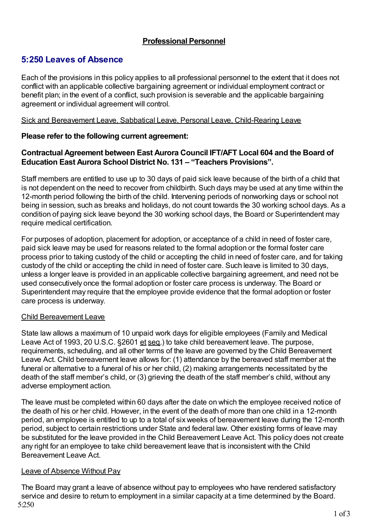# **Professional Personnel**

# **5:250 Leaves of Absence**

Each of the provisions in this policy applies to all professional personnel to the extent that it does not conflict with an applicable collective bargaining agreement or individual employment contract or benefit plan; in the event of a conflict, such provision is severable and the applicable bargaining agreement or individual agreement will control.

#### Sick and Bereavement Leave, Sabbatical Leave, Personal Leave, Child-Rearing Leave

# **Please refer to the following current agreement:**

# **Contractual Agreement between East Aurora Council IFT/AFT Local 604 and the Board of Education East Aurora School District No. 131 – "Teachers Provisions".**

Staff members are entitled to use up to 30 days of paid sick leave because of the birth of a child that is not dependent on the need to recover from childbirth. Such days may be used at any time within the 12-month period following the birth of the child. Intervening periods of nonworking days or school not being in session, such as breaks and holidays, do not count towards the 30 working school days. As a condition of paying sick leave beyond the 30 working school days, the Board or Superintendent may require medical certification.

For purposes of adoption, placement for adoption, or acceptance of a child in need of foster care, paid sick leave may be used for reasons related to the formal adoption or the formal foster care process prior to taking custody of the child or accepting the child in need of foster care, and for taking custody of the child or accepting the child in need of foster care. Such leave is limited to 30 days, unless a longer leave is provided in an applicable collective bargaining agreement, and need not be used consecutively once the formal adoption or foster care process is underway. The Board or Superintendent may require that the employee provide evidence that the formal adoption or foster care process is underway.

# Child Bereavement Leave

State law allows a maximum of 10 unpaid work days for eligible employees (Family and Medical Leave Act of 1993, 20 U.S.C. §2601 et seq.) to take child bereavement leave. The purpose, requirements, scheduling, and all other terms of the leave are governed by the Child Bereavement Leave Act. Child bereavement leave allows for: (1) attendance by the bereaved staff member at the funeral or alternative to a funeral of his or her child, (2) making arrangements necessitated by the death of the staff member's child, or (3) grieving the death of the staff member's child, without any adverse employment action.

The leave must be completed within 60 days after the date on which the employee received notice of the death of his or her child. However, in the event of the death of more than one child in a 12-month period, an employee is entitled to up to a total of six weeks of bereavement leave during the 12-month period, subject to certain restrictions under State and federal law. Other existing forms of leave may be substituted for the leave provided in the Child Bereavement Leave Act. This policy does not create any right for an employee to take child bereavement leave that is inconsistent with the Child Bereavement Leave Act.

# Leave of Absence Without Pay

The Board may grant a leave of absence without pay to employees who have rendered satisfactory service and desire to return to employment in a similar capacity at a time determined by the Board. 5:250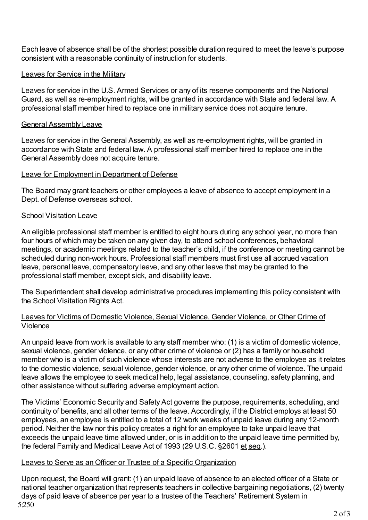Each leave of absence shall be of the shortest possible duration required to meet the leave's purpose consistent with a reasonable continuity of instruction for students.

### Leaves for Service in the Military

Leaves for service in the U.S. Armed Services or any of its reserve components and the National Guard, as well as re-employment rights, will be granted in accordance with State and federal law. A professional staff member hired to replace one in military service does not acquire tenure.

#### General Assembly Leave

Leaves for service in the General Assembly, as well as re-employment rights, will be granted in accordance with State and federal law. A professional staff member hired to replace one in the General Assembly does not acquire tenure.

#### Leave for Employment in Department of Defense

The Board may grant teachers or other employees a leave of absence to accept employment in a Dept. of Defense overseas school.

#### School Visitation Leave

An eligible professional staff member is entitled to eight hours during any school year, no more than four hours of which may be taken on any given day, to attend school conferences, behavioral meetings, or academic meetings related to the teacher's child, if the conference or meeting cannot be scheduled during non-work hours. Professional staff members must first use all accrued vacation leave, personal leave, compensatory leave, and any other leave that may be granted to the professional staff member, except sick, and disability leave.

The Superintendent shall develop administrative procedures implementing this policy consistent with the School Visitation Rights Act.

#### Leaves for Victims of Domestic Violence, Sexual Violence, Gender Violence, or Other Crime of Violence

An unpaid leave from work is available to any staff member who: (1) is a victim of domestic violence, sexual violence, gender violence, or any other crime of violence or (2) has a family or household member who is a victim of such violence whose interests are not adverse to the employee as it relates to the domestic violence, sexual violence, gender violence, or any other crime of violence. The unpaid leave allows the employee to seek medical help, legal assistance, counseling, safety planning, and other assistance without suffering adverse employment action.

The Victims' Economic Security and Safety Act governs the purpose, requirements, scheduling, and continuity of benefits, and all other terms of the leave. Accordingly, if the District employs at least 50 employees, an employee is entitled to a total of 12 work weeks of unpaid leave during any 12-month period. Neither the law nor this policy creates a right for an employee to take unpaid leave that exceeds the unpaid leave time allowed under, or is in addition to the unpaid leave time permitted by, the federal Family and Medical Leave Act of 1993 (29 U.S.C. §2601 et seq.).

#### Leaves to Serve as anOfficer or Trustee of a Specific Organization

Upon request, the Board will grant: (1) an unpaid leave of absence to an elected officer of a State or national teacher organization that represents teachers in collective bargaining negotiations, (2) twenty days of paid leave of absence per year to a trustee of the Teachers' Retirement System in 5:250